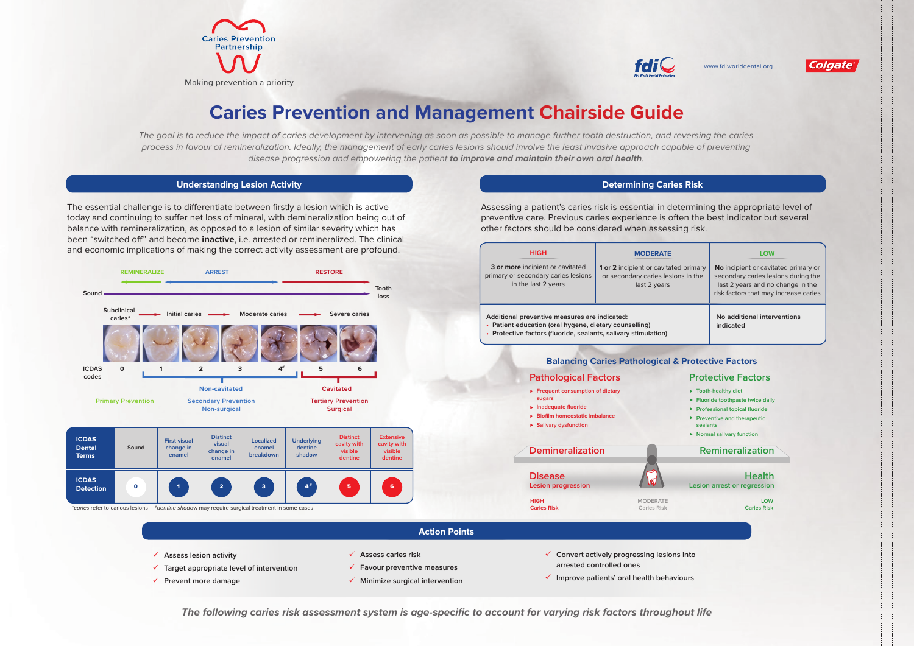www.fdiworlddental.org



- 
- 
- 
- 





The goal is to reduce the impact of caries development by intervening as soon as possible to manage further tooth destruction, and reversing the caries process in favour of remineralization. Ideally, the management of early caries lesions should involve the least invasive approach capable of preventing disease progression and empowering the patient **to improve and maintain their own oral health**.

### **Understanding Lesion Activity**

## **Determining Caries Risk**

The essential challenge is to differentiate between firstly a lesion which is active today and continuing to suffer net loss of mineral, with demineralization being out of balance with remineralization, as opposed to a lesion of similar severity which has been "switched off" and become **inactive**, i.e. arrested or remineralized. The clinical and economic implications of making the correct activity assessment are profound.

Assessing a patient's caries risk is essential in determining the appropriate level of preventive care. Previous caries experience is often the best indicator but several other factors should be considered when assessing risk.

| <b>Action Points</b>                     |                                |                                                        |
|------------------------------------------|--------------------------------|--------------------------------------------------------|
| <b>Assess lesion activity</b>            | Assess caries risk             | $\checkmark$ Convert actively progressing lesions into |
| Target appropriate level of intervention | Favour preventive measures     | arrested controlled ones                               |
| Prevent more damage                      | Minimize surgical intervention | Improve patients' oral health behaviours               |

**The following caries risk assessment system is age-specific to account for varying risk factors throughout life**

| <b>HIGH</b><br>3 or more incipient or cavitated<br>primary or secondary caries lesions<br>in the last 2 years                                                                                                 | <b>MODERATE</b><br>1 or 2 incipient or cavitated primary<br>or secondary caries lesions in the<br>last 2 years | <b>LOW</b><br>No incipient or cavitated primary or<br>secondary caries lesions during the<br>last 2 years and no change in the<br>risk factors that may increase caries                                        |
|---------------------------------------------------------------------------------------------------------------------------------------------------------------------------------------------------------------|----------------------------------------------------------------------------------------------------------------|----------------------------------------------------------------------------------------------------------------------------------------------------------------------------------------------------------------|
| Additional preventive measures are indicated:<br>• Patient education (oral hygene, dietary counselling)<br>• Protective factors (fluoride, sealants, salivary stimulation)                                    |                                                                                                                | No additional interventions<br>indicated                                                                                                                                                                       |
| <b>Pathological Factors</b><br>$\blacktriangleright$ Frequent consumption of dietary<br>sugars<br>$\blacktriangleright$ Inadequate fluoride<br><b>Biofilm homeostatic imbalance</b><br>▶ Salivary dysfunction | <b>Balancing Caries Pathological &amp; Protective Factors</b>                                                  | <b>Protective Factors</b><br>$\triangleright$ Tooth-healthy diet<br>Fluoride toothpaste twice daily<br>▶ Professional topical fluoride<br>Preventive and therapeutic<br>sealants<br>▶ Normal salivary function |
| <b>Demineralization</b>                                                                                                                                                                                       |                                                                                                                | <b>Remineralization</b>                                                                                                                                                                                        |
| <b>Disease</b><br><b>Lesion progression</b>                                                                                                                                                                   |                                                                                                                | <b>Health</b><br>Lesion arrest or regression                                                                                                                                                                   |
| <b>HIGH</b><br><b>Caries Risk</b>                                                                                                                                                                             | <b>MODERATE</b><br><b>Caries Risk</b>                                                                          | <b>LOW</b><br><b>Caries Risk</b>                                                                                                                                                                               |









# **Caries Prevention and Management Chairside Guide**